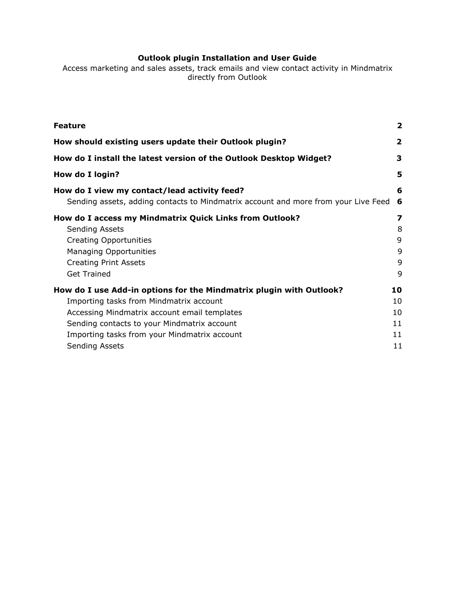# **Outlook plugin Installation and User Guide**

Access marketing and sales assets, track emails and view contact activity in Mindmatrix directly from Outlook

| <b>Feature</b>                                                                                                                     | $\mathbf{2}$ |
|------------------------------------------------------------------------------------------------------------------------------------|--------------|
| How should existing users update their Outlook plugin?                                                                             | 2            |
| How do I install the latest version of the Outlook Desktop Widget?                                                                 | 3            |
| How do I login?                                                                                                                    | 5            |
| How do I view my contact/lead activity feed?<br>Sending assets, adding contacts to Mindmatrix account and more from your Live Feed | 6<br>6       |
| How do I access my Mindmatrix Quick Links from Outlook?                                                                            | 7            |
| Sending Assets                                                                                                                     | 8            |
| <b>Creating Opportunities</b>                                                                                                      | 9            |
| <b>Managing Opportunities</b>                                                                                                      | 9            |
| <b>Creating Print Assets</b>                                                                                                       | 9            |
| <b>Get Trained</b>                                                                                                                 | 9            |
| How do I use Add-in options for the Mindmatrix plugin with Outlook?                                                                | 10           |
| Importing tasks from Mindmatrix account                                                                                            | 10           |
| Accessing Mindmatrix account email templates                                                                                       | 10           |
| Sending contacts to your Mindmatrix account                                                                                        | 11           |
| Importing tasks from your Mindmatrix account                                                                                       | 11           |
| Sending Assets                                                                                                                     | 11           |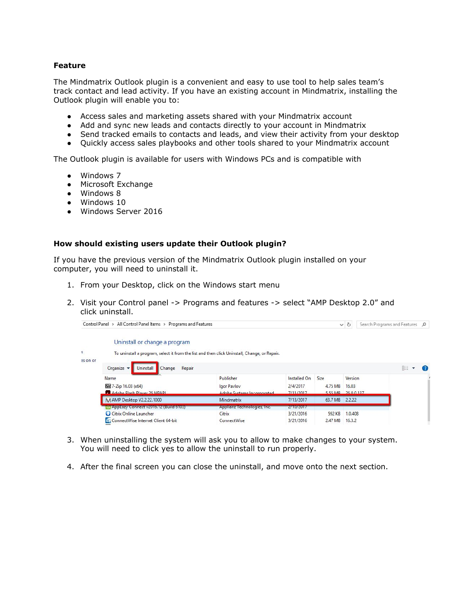## <span id="page-1-0"></span>**Feature**

The Mindmatrix Outlook plugin is a convenient and easy to use tool to help sales team's track contact and lead activity. If you have an existing account in Mindmatrix, installing the Outlook plugin will enable you to:

- Access sales and marketing assets shared with your Mindmatrix account
- Add and sync new leads and contacts directly to your account in Mindmatrix
- Send tracked emails to contacts and leads, and view their activity from your desktop
- Quickly access sales playbooks and other tools shared to your Mindmatrix account

The Outlook plugin is available for users with Windows PCs and is compatible with

- Windows 7
- Microsoft Exchange
- Windows 8
- Windows 10
- Windows Server 2016

#### <span id="page-1-1"></span>**How should existing users update their Outlook plugin?**

If you have the previous version of the Mindmatrix Outlook plugin installed on your computer, you will need to uninstall it.

- 1. From your Desktop, click on the Windows start menu
- 2. Visit your Control panel -> Programs and features -> select "AMP Desktop 2.0" and click uninstall.

|          | Control Panel > All Control Panel Items > Programs and Features                                                               |                             |              | $\checkmark$    | Ō       | Search Programs and Features P |  |
|----------|-------------------------------------------------------------------------------------------------------------------------------|-----------------------------|--------------|-----------------|---------|--------------------------------|--|
| s,       | Uninstall or change a program<br>To uninstall a program, select it from the list and then click Uninstall, Change, or Repair. |                             |              |                 |         |                                |  |
| es on or |                                                                                                                               |                             |              |                 |         |                                |  |
|          | Organize $\blacktriangledown$<br>Uninstall<br>Change<br>Repair                                                                |                             |              |                 |         | 胆                              |  |
|          | Name                                                                                                                          | Publisher                   | Installed On | <b>Size</b>     | Version |                                |  |
|          | $\boxed{22}$ 7-Zip 16.03 (x64)                                                                                                | Igor Pavlov                 | 2/4/2017     | 4.75 MB         | 16.03   |                                |  |
|          | Adobe Flash Player 26 NPAPL                                                                                                   | Adobe Systems Incornorated  | 7/11/2017    | 5.55 MR 2600137 |         |                                |  |
|          | M AMP Desktop V2.2.22.1000                                                                                                    | Mindmatrix                  | 7/13/2017    | 63.7 MB         | 2.2.22  |                                |  |
|          | Cl AppEazy Connect v2016.12 (Build 6103)                                                                                      | Applianz lechnologies, Inc. | 2/10/2017    |                 |         |                                |  |
|          | Citrix Online Launcher                                                                                                        | <b>Citrix</b>               | 3/21/2016    | 592 KB          | 1.0.408 |                                |  |
|          | ConnectWise Internet Client 64-bit                                                                                            | ConnectWise                 | 3/21/2016    | 2.47 MB         | 16.3.2  |                                |  |

- 3. When uninstalling the system will ask you to allow to make changes to your system. You will need to click yes to allow the uninstall to run properly.
- 4. After the final screen you can close the uninstall, and move onto the next section.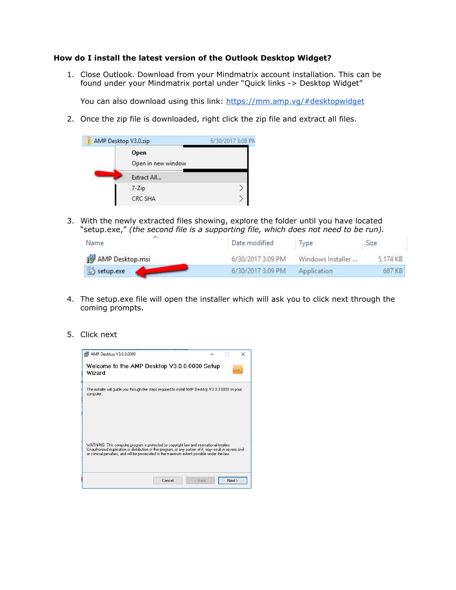#### <span id="page-2-0"></span>**How do I install the latest version of the Outlook Desktop Widget?**

1. Close Outlook. Download from your Mindmatrix account installation. This can be found under your Mindmatrix portal under "Quick links -> Desktop Widget"

You can also download using this link: https://mm.amp.vq/#desktopwidget

2. Once the zip file is downloaded, right click the zip file and extract all files.

| Ų | AMP Desktop V3.0.zip       | 6/30/2017 3:08 PM |
|---|----------------------------|-------------------|
|   | Open<br>Open in new window |                   |
|   | Extract All                |                   |
|   | $7 - Zip$                  |                   |
|   | CRC SHA                    |                   |

3. With the newly extracted files showing, explore the folder until you have located "setup.exe," *(the second file is a supporting file, which does not need to be run).*

| Name            | Date modified     | lype              | Size     |
|-----------------|-------------------|-------------------|----------|
| AMP Desktop.msi | 6/30/2017 3:09 PM | Windows Installer | 5.174 KB |
| setup.exe       | 6/30/2017 3:09 PM | Application       | 687 KB   |

- 4. The setup.exe file will open the installer which will ask you to click next through the coming prompts.
- 5. Click next

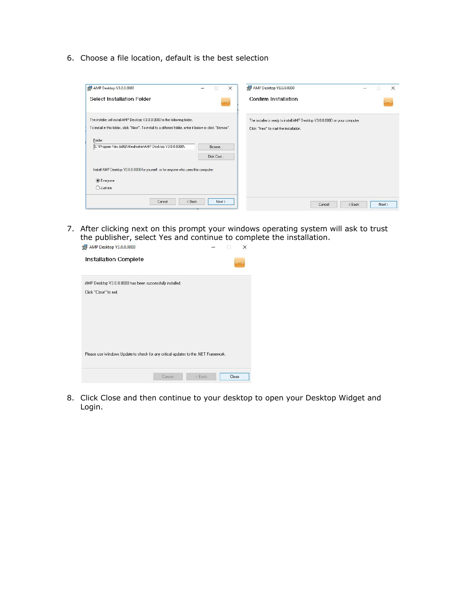6. Choose a file location, default is the best selection

| Confirm Installation<br>amp                                                 |
|-----------------------------------------------------------------------------|
|                                                                             |
| The installer is ready to install AMP Desktop V3.0.0.0000 on your computer. |
| Click "Next" to start the installation.                                     |
|                                                                             |
|                                                                             |
|                                                                             |
|                                                                             |
|                                                                             |
|                                                                             |
|                                                                             |

7. After clicking next on this prompt your windows operating system will ask to trust the publisher, select Yes and continue to complete the installation.

| AMP Desktop V3.0.0.0000 has been successfully installed. |                                                                                    |  |
|----------------------------------------------------------|------------------------------------------------------------------------------------|--|
| Click "Close" to exit.                                   |                                                                                    |  |
|                                                          |                                                                                    |  |
|                                                          |                                                                                    |  |
|                                                          |                                                                                    |  |
|                                                          |                                                                                    |  |
|                                                          |                                                                                    |  |
|                                                          | Please use Windows Update to check for any critical updates to the .NET Framework. |  |

8. Click Close and then continue to your desktop to open your Desktop Widget and Login.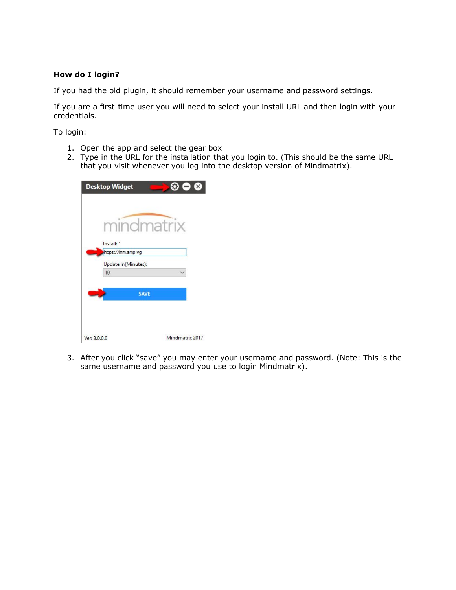## <span id="page-4-0"></span>**How do I login?**

If you had the old plugin, it should remember your username and password settings.

If you are a first-time user you will need to select your install URL and then login with your credentials.

To login:

- 1. Open the app and select the gear box
- 2. Type in the URL for the installation that you login to. (This should be the same URL that you visit whenever you log into the desktop version of Mindmatrix).

| mindmatrix          |                 |
|---------------------|-----------------|
| Install: *          |                 |
| https://mm.amp.vg   |                 |
| Update In(Minutes): |                 |
| 10                  |                 |
|                     |                 |
| <b>SAVE</b>         |                 |
|                     |                 |
|                     |                 |
|                     |                 |
| Ver: 3.0.0.0        | Mindmatrix 2017 |

3. After you click "save" you may enter your username and password. (Note: This is the same username and password you use to login Mindmatrix).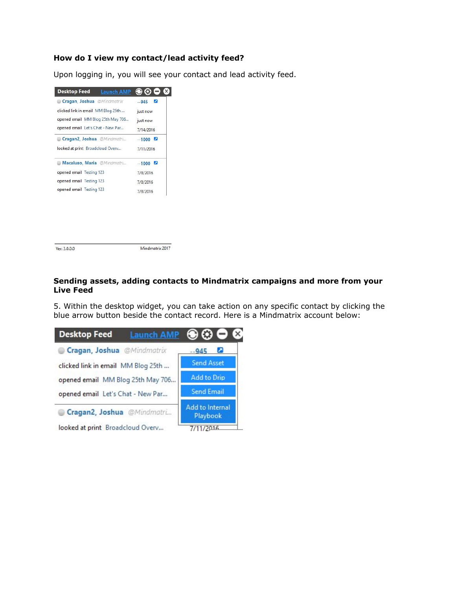## <span id="page-5-0"></span>**How do I view my contact/lead activity feed?**

Upon logging in, you will see your contact and lead activity feed.



Ver: 3.0.0.0

Mindmatrix 2017

## <span id="page-5-1"></span>**Sending assets, adding contacts to Mindmatrix campaigns and more from your Live Feed**

5. Within the desktop widget, you can take action on any specific contact by clicking the blue arrow button beside the contact record. Here is a Mindmatrix account below:

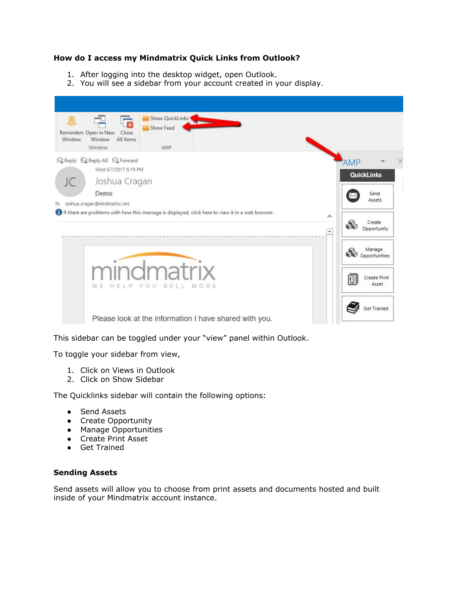## <span id="page-6-1"></span>**How do I access my Mindmatrix Quick Links from Outlook?**

- 1. After logging into the desktop widget, open Outlook.
- 2. You will see a sidebar from your account created in your display.

| Window | <b>Show QuickLinks</b><br>$\overline{\mathbf{x}}$<br><b>Show Feed</b><br>Reminders Open in New<br>Close<br>Window<br>All Items<br>Window<br>AMP |                              |       |  |
|--------|-------------------------------------------------------------------------------------------------------------------------------------------------|------------------------------|-------|--|
|        | Q Reply Q Reply All Q Forward<br>Wed 6/7/2017 6:19 PM                                                                                           | <b>AMP</b>                   |       |  |
| JC     | Joshua Cragan                                                                                                                                   | <b>QuickLinks</b>            |       |  |
|        | Demo                                                                                                                                            | Send<br>Assets               |       |  |
| To     | joshua, cragan@mindmatrix.net                                                                                                                   |                              |       |  |
|        | If there are problems with how this message is displayed, click here to view it in a web browser.<br>$\wedge$<br>$\Delta$                       | Create<br>86<br>Opportunity  |       |  |
|        |                                                                                                                                                 | Manage<br>Ø<br>Opportunities |       |  |
|        | mindmatrix<br>W E<br>HELP<br>YOU<br>SELL MORE                                                                                                   | 冒<br>Create Print            | Asset |  |
|        | Please look at the information I have shared with you.                                                                                          | <b>Get Trained</b>           |       |  |

This sidebar can be toggled under your "view" panel within Outlook.

To toggle your sidebar from view,

- 1. Click on Views in Outlook
- 2. Click on Show Sidebar

The Quicklinks sidebar will contain the following options:

- Send Assets
- Create Opportunity
- Manage Opportunities
- Create Print Asset
- Get Trained

### <span id="page-6-0"></span>**Sending Assets**

Send assets will allow you to choose from print assets and documents hosted and built inside of your Mindmatrix account instance.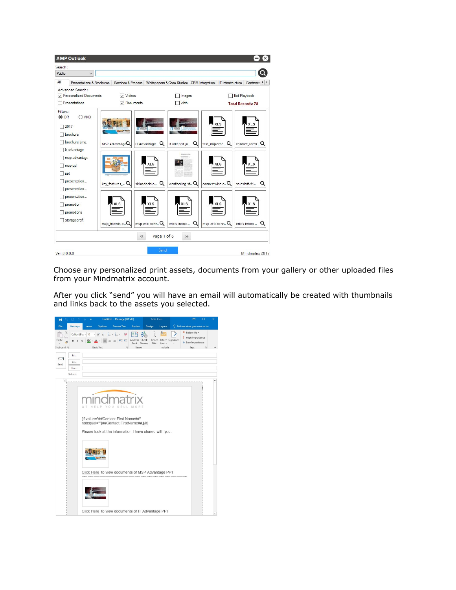

Choose any personalized print assets, documents from your gallery or other uploaded files from your Mindmatrix account.

After you click "send" you will have an email will automatically be created with thumbnails and links back to the assets you selected.

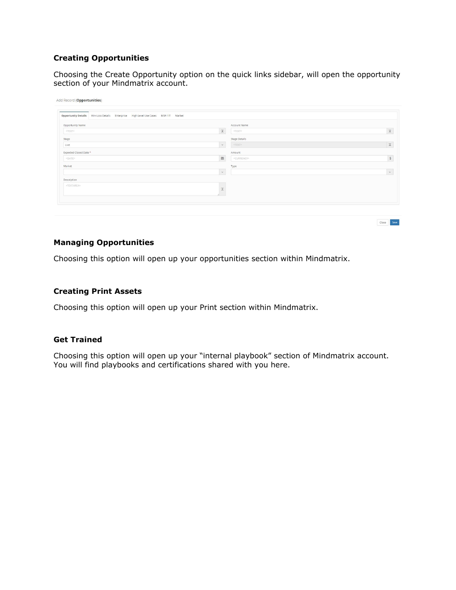## <span id="page-8-1"></span>**Creating Opportunities**

Choosing the Create Opportunity option on the quick links sidebar, will open the opportunity section of your Mindmatrix account.

| Opportunity Details Win-Loss Details Enterprise High Level Use Cases MSP / IT Market |                                     |                            |
|--------------------------------------------------------------------------------------|-------------------------------------|----------------------------|
| Opportunity Name                                                                     | Account Name                        |                            |
| <text></text>                                                                        | $\mathbbm{X}$<br><text></text>      | $\ensuremath{\mathcal{X}}$ |
| Stage                                                                                | Stage Details                       |                            |
| Live                                                                                 | $_{\rm v}$<br><text></text>         | $\mathbbm{Z}$              |
| Expected Closed Date *                                                               | Amount                              |                            |
| <date></date>                                                                        | $\cong$<br><currency></currency>    | $\mathsf{S}$               |
| Market                                                                               | Type                                |                            |
|                                                                                      | $\checkmark$                        | $_{\rm v}$                 |
| Description                                                                          |                                     |                            |
| <textarea></textarea>                                                                |                                     |                            |
|                                                                                      | $\mathcal{X}% _{T}=\mathcal{X}_{T}$ |                            |

Close Save

## <span id="page-8-3"></span>**Managing Opportunities**

Choosing this option will open up your opportunities section within Mindmatrix.

## <span id="page-8-0"></span>**Creating Print Assets**

Choosing this option will open up your Print section within Mindmatrix.

#### <span id="page-8-2"></span>**Get Trained**

Choosing this option will open up your "internal playbook" section of Mindmatrix account. You will find playbooks and certifications shared with you here.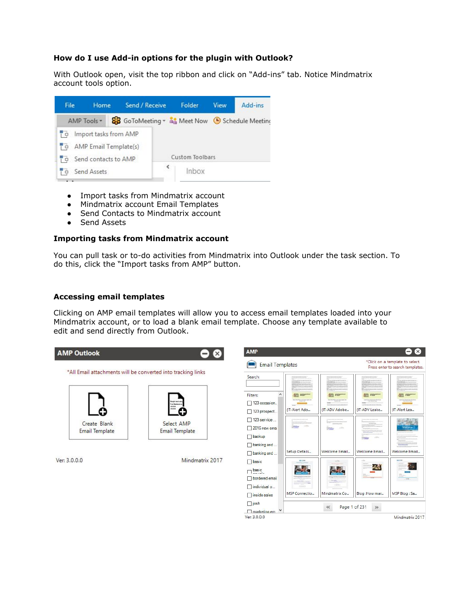## <span id="page-9-1"></span>**How do I use Add-in options for the plugin with Outlook?**

With Outlook open, visit the top ribbon and click on "Add-ins" tab. Notice Mindmatrix account tools option.



- Import tasks from Mindmatrix account
- Mindmatrix account Email Templates
- Send Contacts to Mindmatrix account
- Send Assets

### <span id="page-9-0"></span>**Importing tasks from Mindmatrix account**

You can pull task or to-do activities from Mindmatrix into Outlook under the task section. To do this, click the "Import tasks from AMP" button.

### <span id="page-9-2"></span>**Accessing email templates**

Clicking on AMP email templates will allow you to access email templates loaded into your Mindmatrix account, or to load a blank email template. Choose any template available to edit and send directly from Outlook.